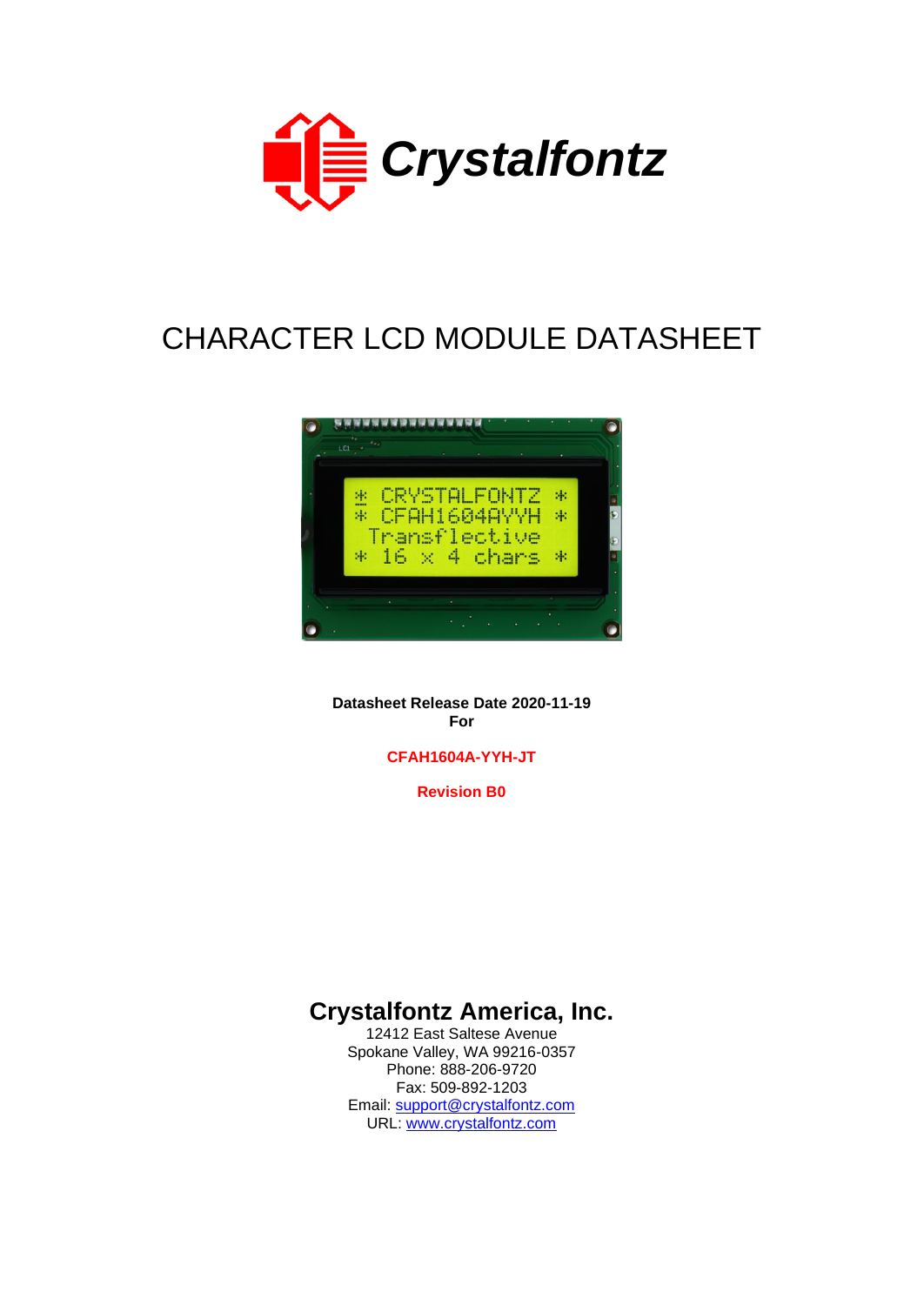

# CHARACTER LCD MODULE DATASHEET



**Datasheet Release Date 2020-11-19 For**

**CFAH1604A-YYH-JT**

**Revision B0**

# **Crystalfontz America, Inc.**

12412 East Saltese Avenue Spokane Valley, WA 99216-0357 Phone: 888-206-9720 Fax: 509-892-1203 Email: [support@crystalfontz.com](mailto:support@crystalfontz.com) URL: [www.crystalfontz.com](http://www.crystalfontz.com/)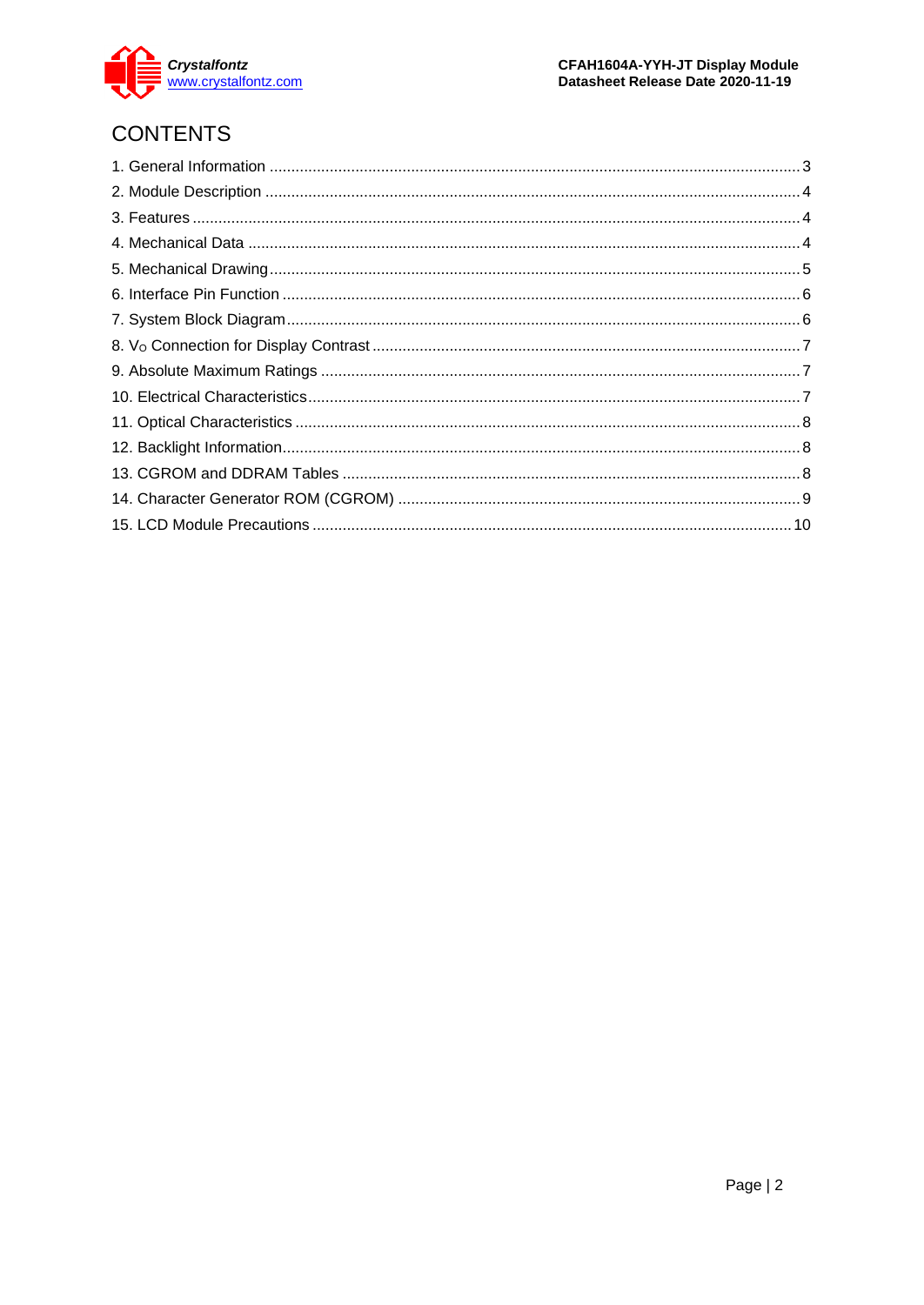

# **CONTENTS**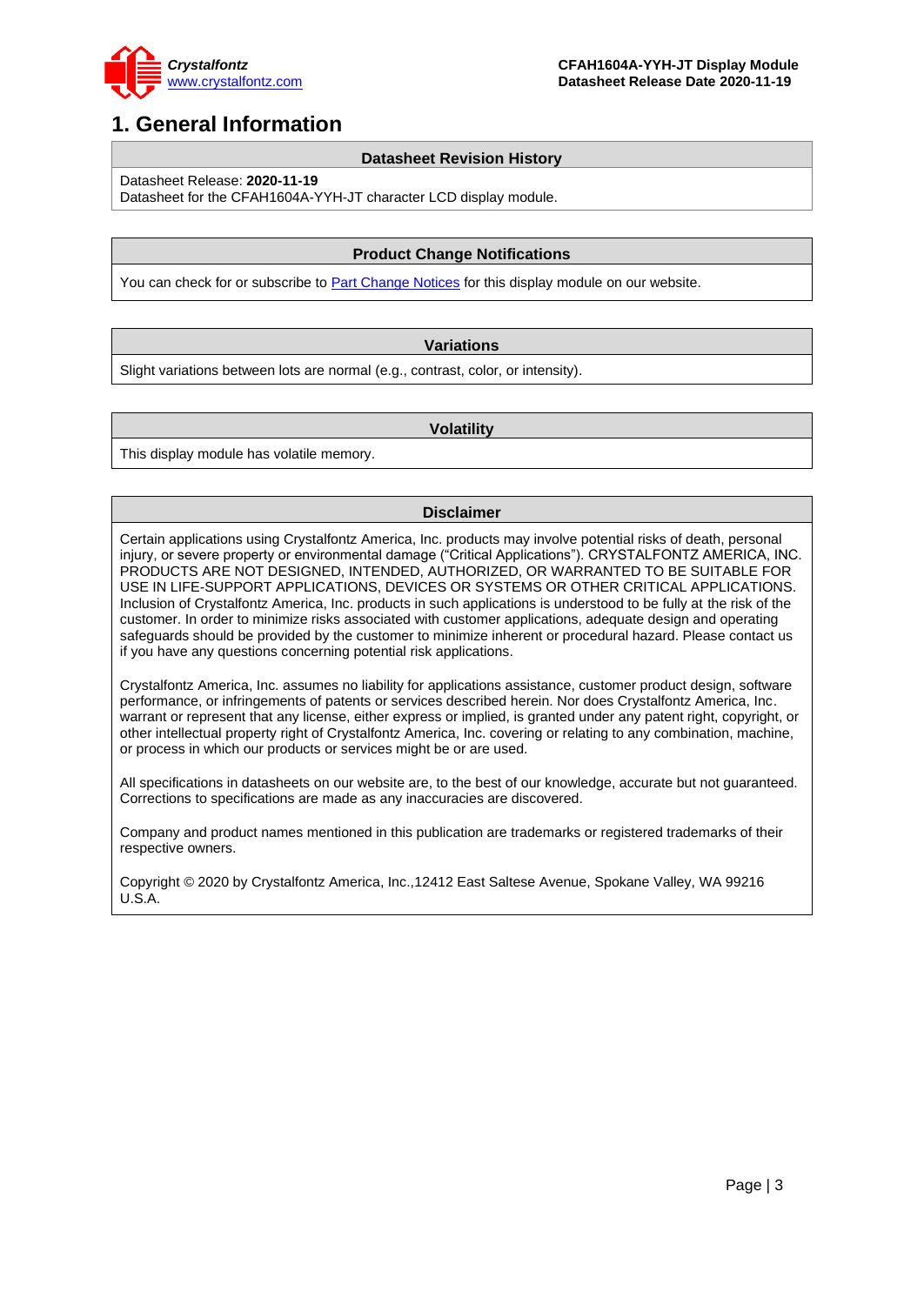

### <span id="page-2-0"></span>**1. General Information**

#### **Datasheet Revision History**

Datasheet Release: **2020-11-19**

Datasheet for the CFAH1604A-YYH-JT character LCD display module.

#### **Product Change Notifications**

You can check for or subscribe to **Part Change Notices** for this display module on our website.

#### **Variations**

Slight variations between lots are normal (e.g., contrast, color, or intensity).

#### **Volatility**

This display module has volatile memory.

#### **Disclaimer**

Certain applications using Crystalfontz America, Inc. products may involve potential risks of death, personal injury, or severe property or environmental damage ("Critical Applications"). CRYSTALFONTZ AMERICA, INC. PRODUCTS ARE NOT DESIGNED, INTENDED, AUTHORIZED, OR WARRANTED TO BE SUITABLE FOR USE IN LIFE-SUPPORT APPLICATIONS, DEVICES OR SYSTEMS OR OTHER CRITICAL APPLICATIONS. Inclusion of Crystalfontz America, Inc. products in such applications is understood to be fully at the risk of the customer. In order to minimize risks associated with customer applications, adequate design and operating safeguards should be provided by the customer to minimize inherent or procedural hazard. Please contact us if you have any questions concerning potential risk applications.

Crystalfontz America, Inc. assumes no liability for applications assistance, customer product design, software performance, or infringements of patents or services described herein. Nor does Crystalfontz America, Inc. warrant or represent that any license, either express or implied, is granted under any patent right, copyright, or other intellectual property right of Crystalfontz America, Inc. covering or relating to any combination, machine, or process in which our products or services might be or are used.

All specifications in datasheets on our website are, to the best of our knowledge, accurate but not guaranteed. Corrections to specifications are made as any inaccuracies are discovered.

Company and product names mentioned in this publication are trademarks or registered trademarks of their respective owners.

Copyright © 2020 by Crystalfontz America, Inc.,12412 East Saltese Avenue, Spokane Valley, WA 99216 U.S.A.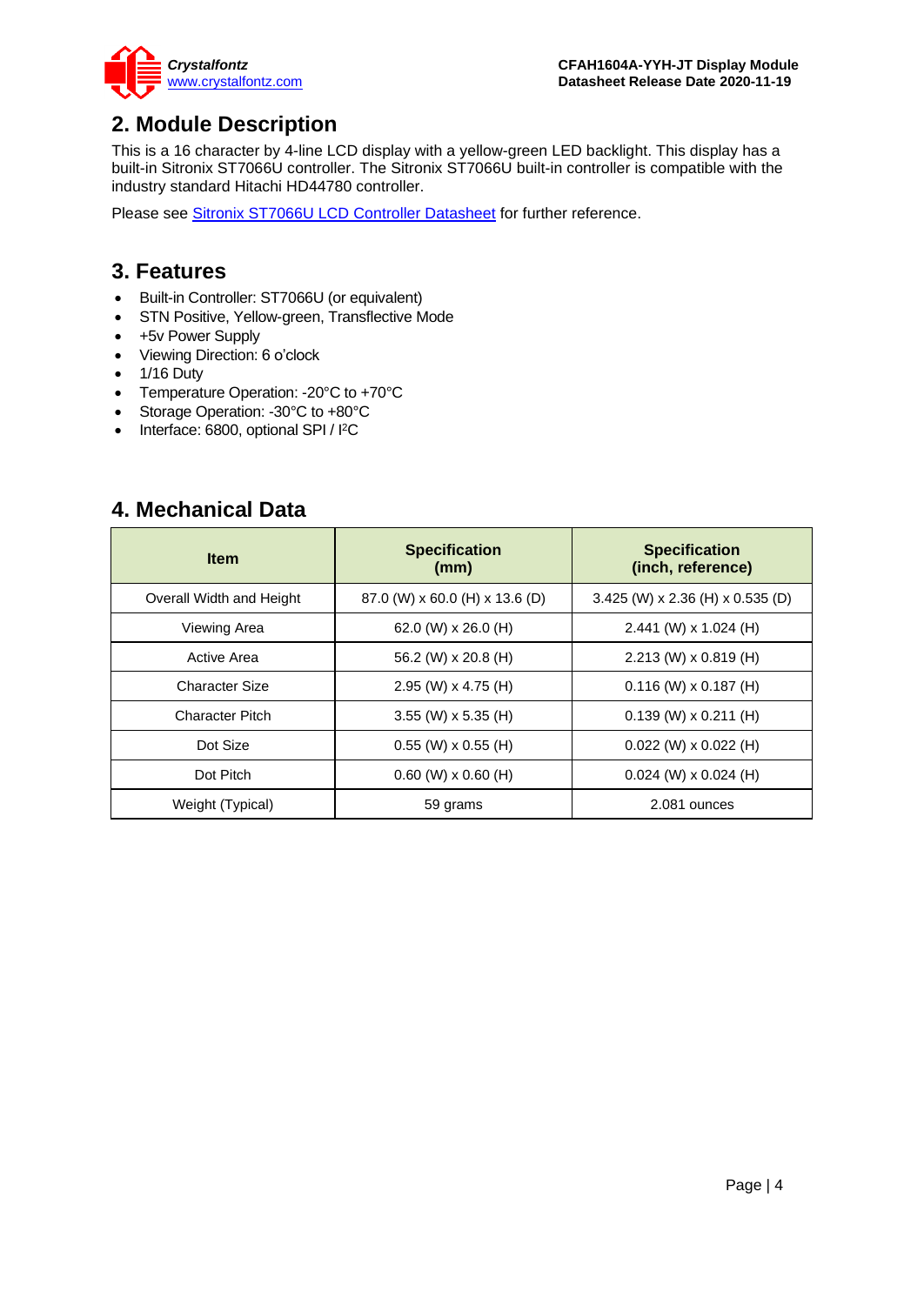

### <span id="page-3-0"></span>**2. Module Description**

This is a 16 character by 4-line LCD display with a yellow-green LED backlight. This display has a built-in Sitronix ST7066U controller. The Sitronix ST7066U built-in controller is compatible with the industry standard Hitachi HD44780 controller.

Please see [Sitronix ST7066U LCD Controller Datasheet](https://www.crystalfontz.com/controllers/Sitronix/ST7066U) for further reference.

### <span id="page-3-1"></span>**3. Features**

- Built-in Controller: ST7066U (or equivalent)
- STN Positive, Yellow-green, Transflective Mode
- +5v Power Supply
- Viewing Direction: 6 o'clock
- 1/16 Duty
- Temperature Operation: -20°C to +70°C
- Storage Operation: -30°C to +80°C
- Interface: 6800, optional SPI / I<sup>2</sup>C

### <span id="page-3-2"></span>**4. Mechanical Data**

| <b>Item</b>              | <b>Specification</b><br>(mm)     | <b>Specification</b><br>(inch, reference) |  |  |  |  |
|--------------------------|----------------------------------|-------------------------------------------|--|--|--|--|
| Overall Width and Height | $87.0$ (W) x 60.0 (H) x 13.6 (D) | $3.425$ (W) x 2.36 (H) x 0.535 (D)        |  |  |  |  |
| Viewing Area             | 62.0 (W) $\times$ 26.0 (H)       | 2.441 (W) x 1.024 (H)                     |  |  |  |  |
| Active Area              | 56.2 (W) x 20.8 (H)              | $2.213$ (W) x 0.819 (H)                   |  |  |  |  |
| Character Size           | 2.95 (W) x 4.75 (H)              | $0.116$ (W) x $0.187$ (H)                 |  |  |  |  |
| <b>Character Pitch</b>   | 3.55 (W) x 5.35 (H)              | $0.139$ (W) x $0.211$ (H)                 |  |  |  |  |
| Dot Size                 | $0.55$ (W) x 0.55 (H)            | $0.022$ (W) x $0.022$ (H)                 |  |  |  |  |
| Dot Pitch                | $0.60$ (W) x $0.60$ (H)          | $0.024$ (W) x $0.024$ (H)                 |  |  |  |  |
| Weight (Typical)         | 59 grams                         | 2.081 ounces                              |  |  |  |  |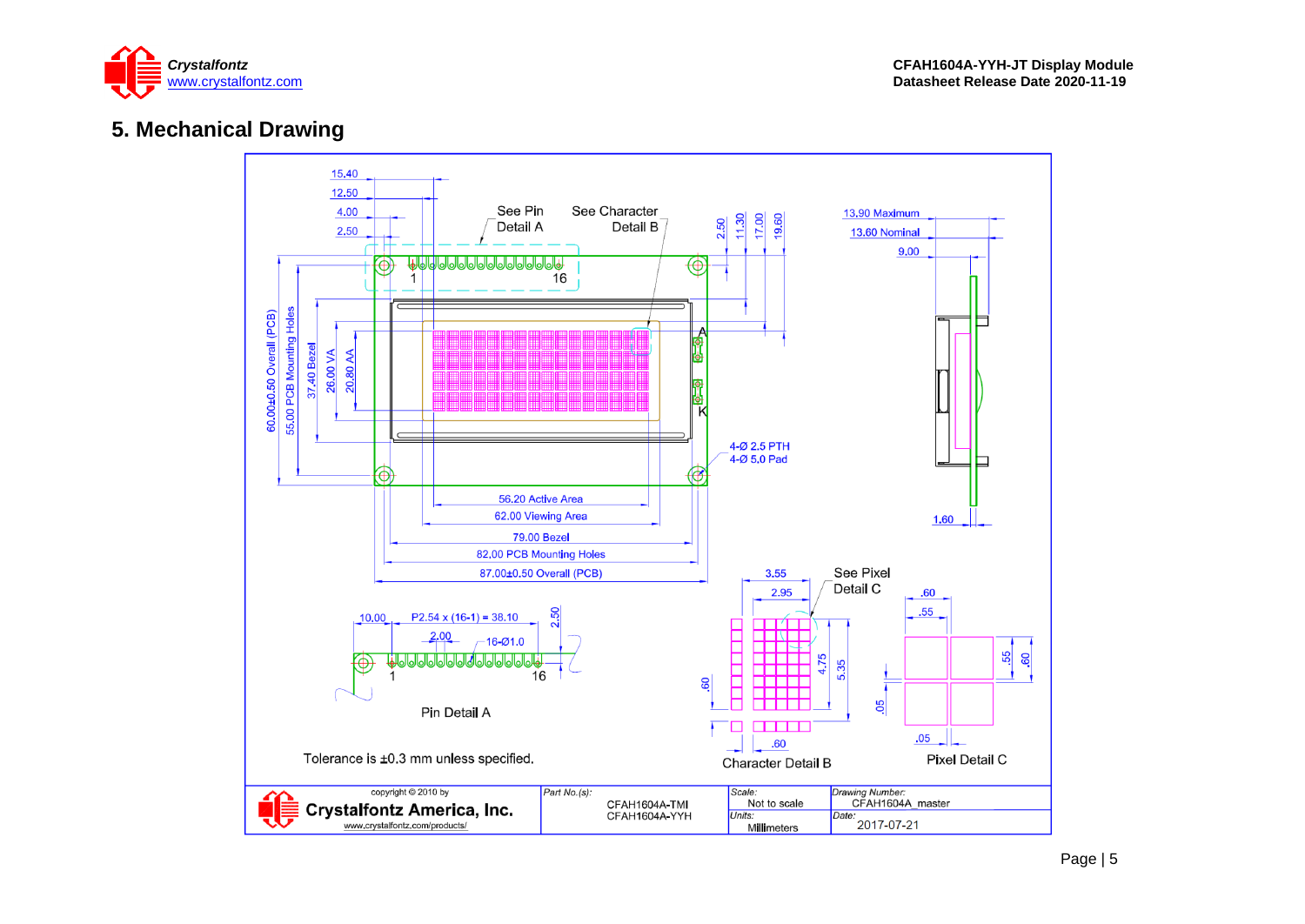

### **5. Mechanical Drawing**

<span id="page-4-0"></span>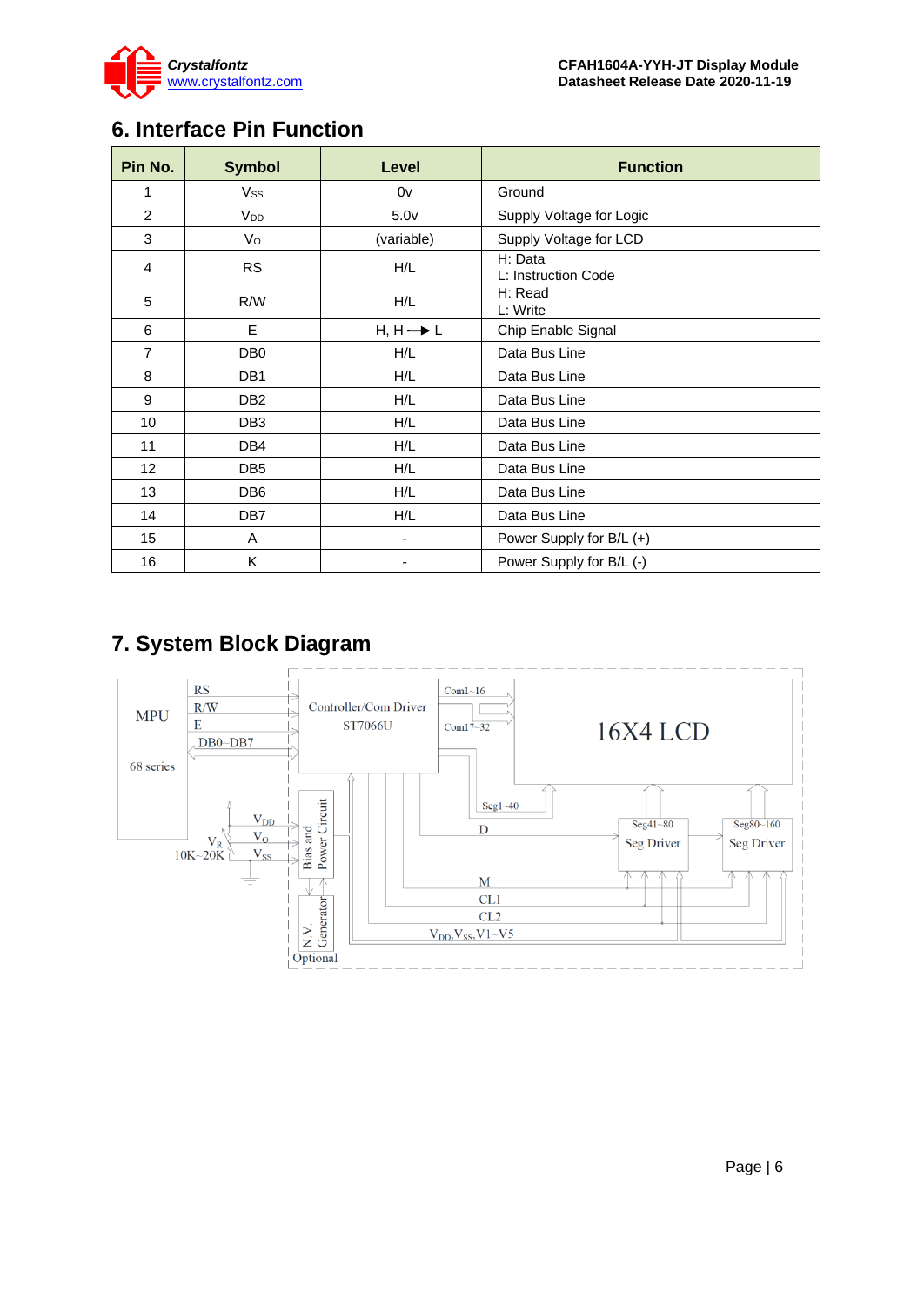

# <span id="page-5-0"></span>**6. Interface Pin Function**

| Pin No.         | <b>Symbol</b>         | Level                | <b>Function</b>                |
|-----------------|-----------------------|----------------------|--------------------------------|
| 1               | Vss                   | 0v                   | Ground                         |
| $\overline{2}$  | <b>V<sub>DD</sub></b> | 5.0 <sub>v</sub>     | Supply Voltage for Logic       |
| 3               | Vo                    | (variable)           | Supply Voltage for LCD         |
| 4               | <b>RS</b>             | H/L                  | H: Data<br>L: Instruction Code |
| 5               | R/W                   | H/L                  | H: Read<br>L: Write            |
| 6               | E                     | $H, H \rightarrow L$ | Chip Enable Signal             |
| $\overline{7}$  | DB <sub>0</sub>       | H/L                  | Data Bus Line                  |
| 8               | DB <sub>1</sub>       | H/L                  | Data Bus Line                  |
| 9               | DB <sub>2</sub>       | H/L                  | Data Bus Line                  |
| 10              | DB <sub>3</sub>       | H/L                  | Data Bus Line                  |
| 11              | DB4                   | H/L                  | Data Bus Line                  |
| 12 <sub>2</sub> | DB <sub>5</sub>       | H/L                  | Data Bus Line                  |
| 13              | DB <sub>6</sub>       | H/L                  | Data Bus Line                  |
| 14              | DB7                   | H/L                  | Data Bus Line                  |
| 15              | A                     | -                    | Power Supply for B/L (+)       |
| 16              | Κ                     |                      | Power Supply for B/L (-)       |

# <span id="page-5-1"></span>**7. System Block Diagram**

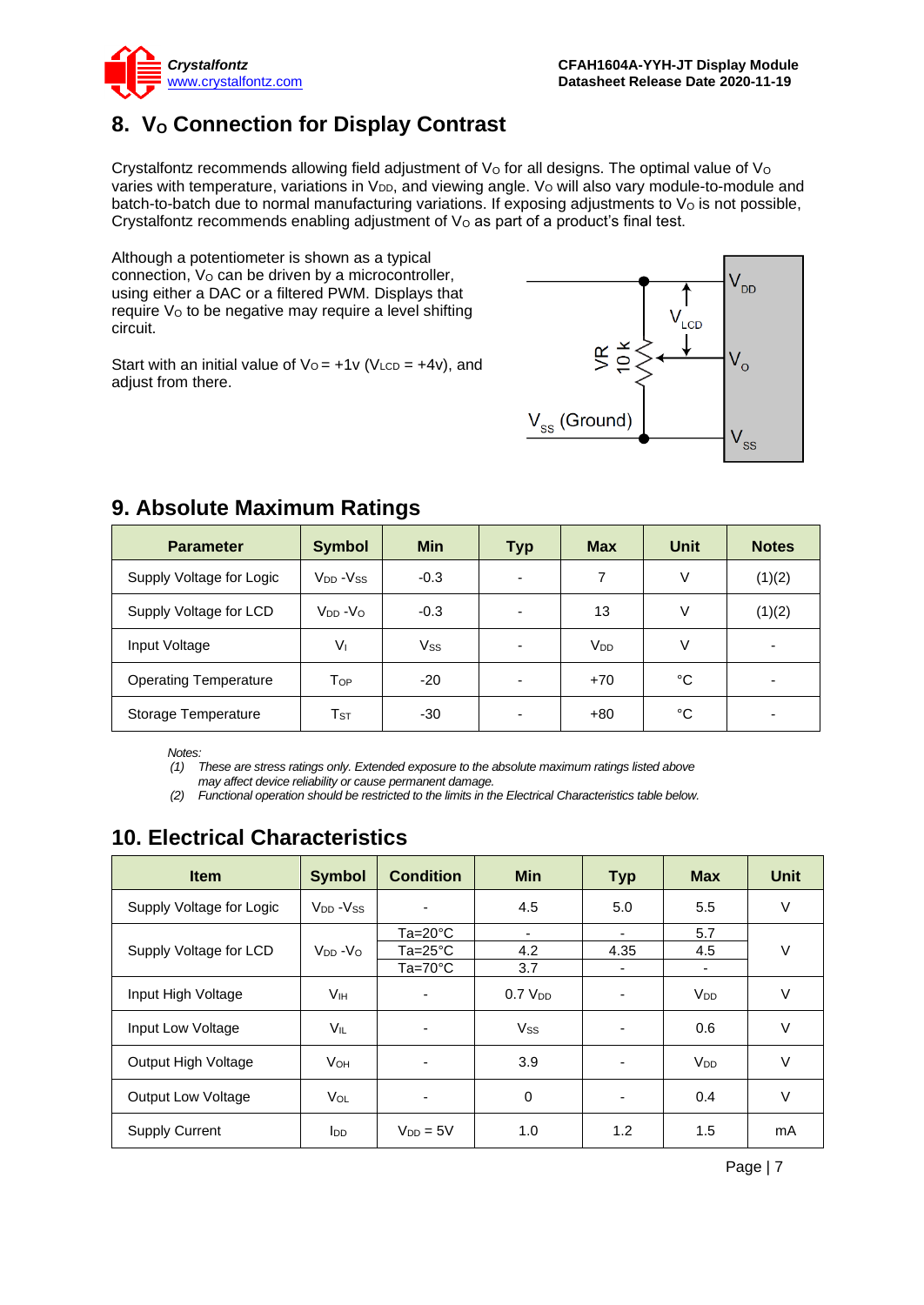

# <span id="page-6-0"></span>**8. V<sup>O</sup> Connection for Display Contrast**

Crystalfontz recommends allowing field adjustment of  $V<sub>O</sub>$  for all designs. The optimal value of  $V<sub>O</sub>$ varies with temperature, variations in  $V_{DD}$ , and viewing angle.  $V_{O}$  will also vary module-to-module and batch-to-batch due to normal manufacturing variations. If exposing adjustments to  $V<sub>O</sub>$  is not possible, Crystalfontz recommends enabling adjustment of  $V<sub>O</sub>$  as part of a product's final test.

Although a potentiometer is shown as a typical connection, V<sub>o</sub> can be driven by a microcontroller, using either a DAC or a filtered PWM. Displays that require V<sub>o</sub> to be negative may require a level shifting circuit.

Start with an initial value of  $V_0 = +1v$  (V<sub>LCD</sub> =  $+4v$ ), and adjust from there.



| <b>Parameter</b>             | <b>Symbol</b>              | <b>Min</b> | <b>Typ</b> | <b>Max</b>      | <b>Unit</b> | <b>Notes</b> |
|------------------------------|----------------------------|------------|------------|-----------------|-------------|--------------|
| Supply Voltage for Logic     | $V_{DD} - V_{SS}$          | $-0.3$     |            | 7               | v           | (1)(2)       |
| Supply Voltage for LCD       | $V_{DD} - V_{O}$           | $-0.3$     |            | 13              | V           | (1)(2)       |
| Input Voltage                | $V_{1}$                    | Vss        |            | V <sub>DD</sub> | ٧           |              |
| <b>Operating Temperature</b> | Тор                        | -20        | -          | $+70$           | °C          |              |
| Storage Temperature          | $\mathsf{T}_{\texttt{ST}}$ | $-30$      |            | $+80$           | °C          |              |

### <span id="page-6-1"></span>**9. Absolute Maximum Ratings**

*Notes:*

*(1) These are stress ratings only. Extended exposure to the absolute maximum ratings listed above may affect device reliability or cause permanent damage.* 

*(2) Functional operation should be restricted to the limits in the Electrical Characteristics table below.*

# <span id="page-6-2"></span>**10. Electrical Characteristics**

| <b>Item</b>               | <b>Symbol</b>                    | <b>Condition</b>         | <b>Min</b>          | <b>Typ</b>               | <b>Max</b>            | <b>Unit</b> |
|---------------------------|----------------------------------|--------------------------|---------------------|--------------------------|-----------------------|-------------|
| Supply Voltage for Logic  | V <sub>DD</sub> -V <sub>SS</sub> |                          | 4.5                 | 5.0                      | 5.5                   | $\vee$      |
|                           |                                  | $Ta=20^{\circ}C$         |                     | ٠                        | 5.7                   |             |
| Supply Voltage for LCD    | $V_{DD} - V_{O}$                 | $Ta = 25^{\circ}C$       | 4.2                 | 4.35                     | 4.5                   | $\vee$      |
|                           |                                  | $Ta=70^{\circ}C$         | 3.7                 |                          | ٠                     |             |
| Input High Voltage        | V <sub>IH</sub>                  | $\overline{\phantom{0}}$ | 0.7 V <sub>DD</sub> | $\overline{\phantom{a}}$ | <b>V<sub>DD</sub></b> | $\vee$      |
| Input Low Voltage         | VIL                              |                          | Vss                 |                          | 0.6                   | $\vee$      |
| Output High Voltage       | <b>V</b> он                      |                          | 3.9                 |                          | <b>V<sub>DD</sub></b> | $\vee$      |
| <b>Output Low Voltage</b> | VOL                              |                          | 0                   | $\overline{\phantom{a}}$ | 0.4                   | V           |
| <b>Supply Current</b>     | <b>I</b> <sub>DD</sub>           | $V_{DD} = 5V$            | 1.0                 | 1.2                      | 1.5                   | mA          |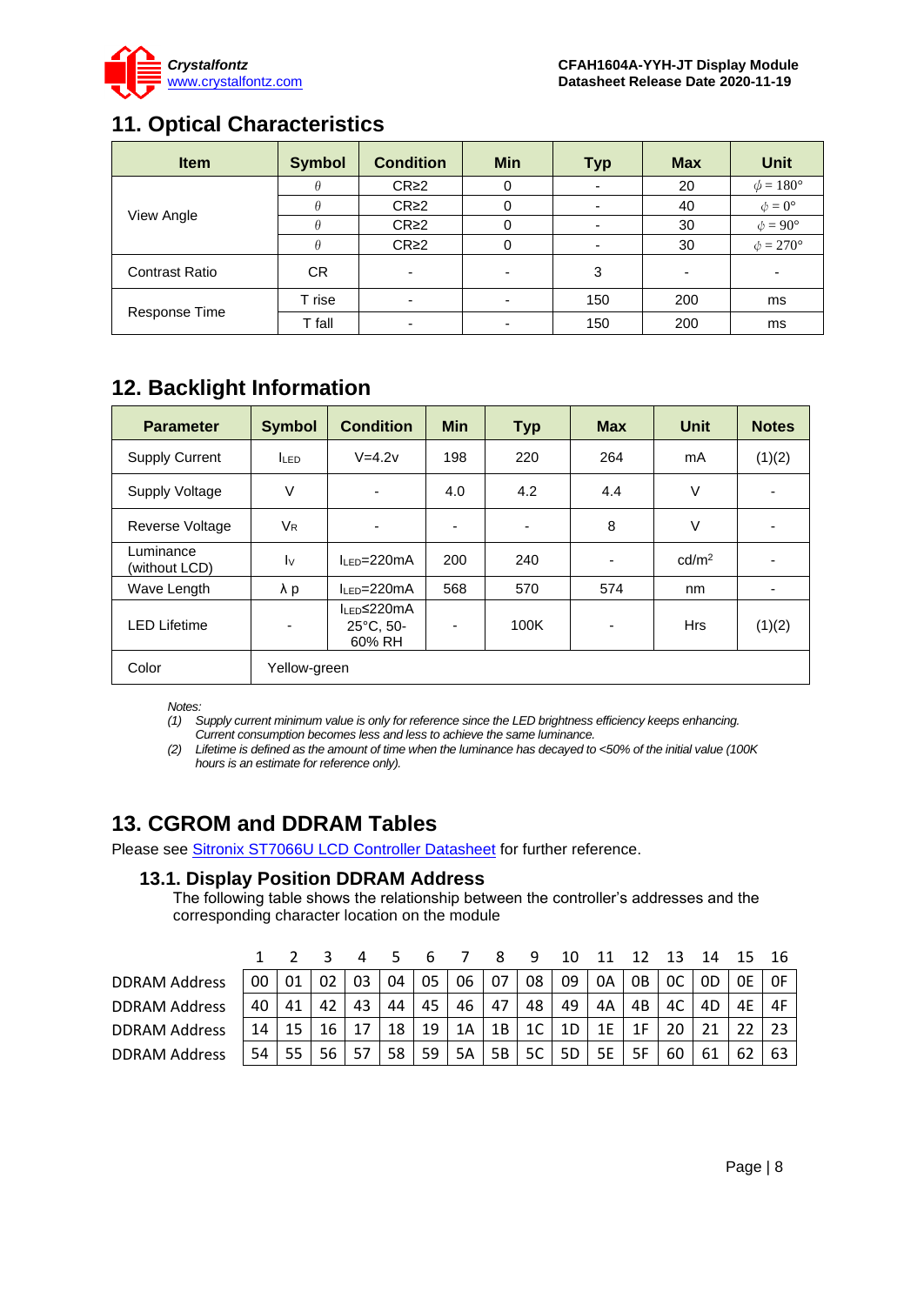

### <span id="page-7-0"></span>**11. Optical Characteristics**

| <b>Item</b>           | <b>Symbol</b> | <b>Condition</b>         | <b>Min</b>               | <b>Typ</b> | <b>Max</b> | Unit                 |
|-----------------------|---------------|--------------------------|--------------------------|------------|------------|----------------------|
|                       |               | CR <sub>2</sub>          |                          |            | 20         | $\phi = 180^\circ$   |
|                       |               | $CR \geq 2$              |                          |            | 40         | $\phi = 0^{\circ}$   |
| View Angle            |               | CR <sub>2</sub>          |                          |            | 30         | $\phi = 90^{\circ}$  |
|                       | θ             | CR <sub>2</sub>          |                          |            | 30         | $\phi = 270^{\circ}$ |
| <b>Contrast Ratio</b> | CR            | $\overline{\phantom{0}}$ | ٠                        | 3          |            |                      |
| Response Time         | T rise        |                          |                          | 150        | 200        | ms                   |
|                       | T fall        | $\overline{\phantom{0}}$ | $\overline{\phantom{0}}$ | 150        | 200        | ms                   |

# <span id="page-7-1"></span>**12. Backlight Information**

| <b>Parameter</b>           | <b>Symbol</b>             | <b>Condition</b>                                         | <b>Min</b>               | <b>Typ</b>               | <b>Max</b> | Unit              | <b>Notes</b>   |
|----------------------------|---------------------------|----------------------------------------------------------|--------------------------|--------------------------|------------|-------------------|----------------|
| <b>Supply Current</b>      | <b>ILED</b>               | $V=4.2v$                                                 | 220<br>198<br>264<br>mA  |                          |            |                   | (1)(2)         |
| Supply Voltage             | V                         | ٠                                                        | 4.0                      | 4.2                      | 4.4        | V                 | $\blacksquare$ |
| Reverse Voltage            | <b>V<sub>R</sub></b>      | ٠                                                        | $\overline{\phantom{a}}$ | $\overline{\phantom{a}}$ | 8          | V                 |                |
| Luminance<br>(without LCD) | $\mathsf{I}_{\mathsf{V}}$ | $IIP=220mA$                                              | 200                      | 240                      | -          | cd/m <sup>2</sup> |                |
| Wave Length                | $\lambda$ p               | $II$ FD=220mA                                            | 568                      | 570                      | 574        | nm                |                |
| <b>LED Lifetime</b>        | ۰                         | I <sub>LED</sub> ≤220mA<br>$25^{\circ}$ C, 50-<br>60% RH | $\overline{\phantom{a}}$ | 100K                     | -          | <b>Hrs</b>        | (1)(2)         |
| Color                      | Yellow-green              |                                                          |                          |                          |            |                   |                |

*Notes:* 

*(1) Supply current minimum value is only for reference since the LED brightness efficiency keeps enhancing.* 

*Current consumption becomes less and less to achieve the same luminance.* 

*(2) Lifetime is defined as the amount of time when the luminance has decayed to <50% of the initial value (100K hours is an estimate for reference only).*

# <span id="page-7-2"></span>**13. CGROM and DDRAM Tables**

Please see [Sitronix ST7066U LCD Controller Datasheet](https://www.crystalfontz.com/controllers/Sitronix/ST7066U) for further reference.

### **13.1. Display Position DDRAM Address**

The following table shows the relationship between the controller's addresses and the corresponding character location on the module

|                      |    |    |    |    |    |    |    |    | 9              |    |    |    | 13             | 14 |    |    |
|----------------------|----|----|----|----|----|----|----|----|----------------|----|----|----|----------------|----|----|----|
| <b>DDRAM Address</b> | 00 | 01 |    | 03 | 04 | 05 | 06 | 07 | 08             | 09 | 0A | 0B | <sub>0</sub> C | 0D | 0F | 0F |
| <b>DDRAM Address</b> | 40 | 41 | 42 | 43 | 44 | 45 | 46 | 47 | 48             | 49 | 4A | 4B | 4C             | 4D |    | 4F |
| <b>DDRAM Address</b> | 14 |    | 16 |    | 18 | 19 | 1A | 1B | 1 <sup>C</sup> | 1D | 1E |    |                |    |    | 23 |
| <b>DDRAM Address</b> | 54 |    | 56 |    | 58 | 59 | 5A | 5B | 5C             | 5D | 5E | 5F | 60             |    |    | 63 |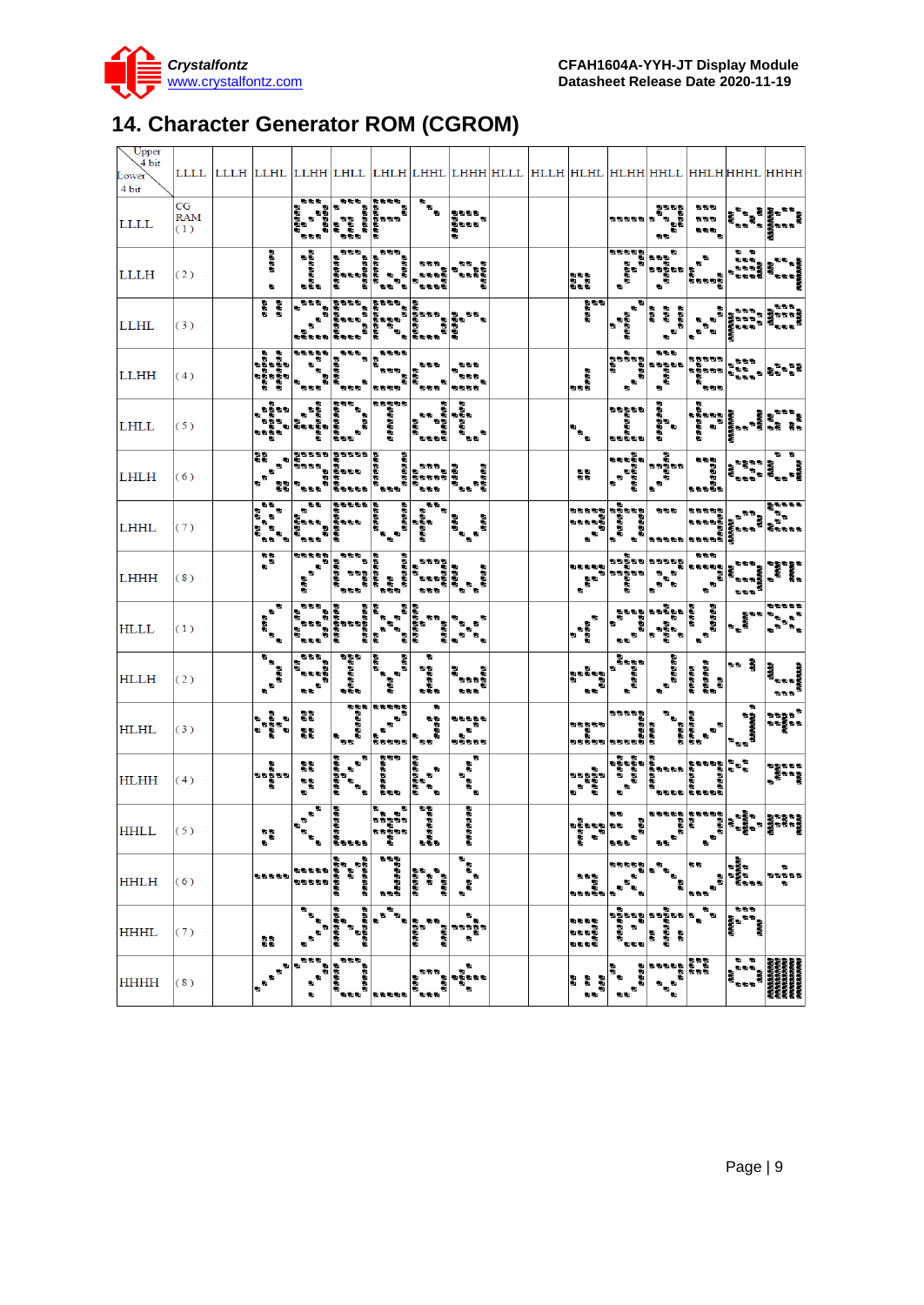

# <span id="page-8-0"></span>**14. Character Generator ROM (CGROM)**

| Upper<br>$\sqrt{4}$ bit    |                         |                                                           |                                                                                                                                                                                                                                                                                                                                                                        |                                                                                                                                                                             |                                                                                                                                                                                                                                  |                                                                                                |                                                           |                                                                                             |                                                                                            |                                                           |                                                                                                                                                                                                                                                                                                                                                                                                               |                                                                             |                                                                      |                                                                                                                                                                                                                         |
|----------------------------|-------------------------|-----------------------------------------------------------|------------------------------------------------------------------------------------------------------------------------------------------------------------------------------------------------------------------------------------------------------------------------------------------------------------------------------------------------------------------------|-----------------------------------------------------------------------------------------------------------------------------------------------------------------------------|----------------------------------------------------------------------------------------------------------------------------------------------------------------------------------------------------------------------------------|------------------------------------------------------------------------------------------------|-----------------------------------------------------------|---------------------------------------------------------------------------------------------|--------------------------------------------------------------------------------------------|-----------------------------------------------------------|---------------------------------------------------------------------------------------------------------------------------------------------------------------------------------------------------------------------------------------------------------------------------------------------------------------------------------------------------------------------------------------------------------------|-----------------------------------------------------------------------------|----------------------------------------------------------------------|-------------------------------------------------------------------------------------------------------------------------------------------------------------------------------------------------------------------------|
| Lower <sup></sup><br>4 bit |                         |                                                           |                                                                                                                                                                                                                                                                                                                                                                        |                                                                                                                                                                             |                                                                                                                                                                                                                                  |                                                                                                |                                                           | LLLL  LLLH  LLHL  LLHH  LHLL  LHLH  LHHL  LHHH HLLL  HLLH  HLHL  HLHH HHLL  HHLH HHHL  HHHH |                                                                                            |                                                           |                                                                                                                                                                                                                                                                                                                                                                                                               |                                                                             |                                                                      |                                                                                                                                                                                                                         |
| LLLL                       | CG<br><b>RAM</b><br>(1) |                                                           | ある物<br>ъă<br><b>B</b> B B                                                                                                                                                                                                                                                                                                                                              |                                                                                                                                                                             | でもちゃってももちゃっとしていません。<br>このもちゃっともちゃっとしています。<br>このもちゃっとしています。<br>このもちゃっとしています。                                                                                                                                                      | $\overline{\overline{u}}_{\overline{u}}$                                                       | もちもち<br>もちもも<br>う<br>¥,                                   |                                                                                             |                                                                                            | 555555                                                    | 686B<br>i<br>Para<br><b>SS</b>                                                                                                                                                                                                                                                                                                                                                                                | 西西西<br><b>DE 10</b><br>aan <sub>a</sub>                                     | <b>まった あおのか</b><br>そっかり おおのか                                         |                                                                                                                                                                                                                         |
| <b>LLLH</b>                | (2)                     | <b>BRAS</b><br>監                                          | <b>B</b><br>Bananan                                                                                                                                                                                                                                                                                                                                                    |                                                                                                                                                                             | ್ರಾನ್ ನಡೆದಿದ್ದ<br>ಪ್ರಸ್ತುಪ್ರಸ್ತು ನಡೆದಿದ್ದಾರೆ<br>ಪ್ರಸ್ತುಪ್ರಸ್ತು ನಡೆದಿದ್ದು<br>ಪ್ರಸ್ತುಪ್ರಸ್ತುಪ್ರಸ್ತು                                                                                                                                | 电影图<br>a,                                                                                      | 50<br>$\sim 25$                                           |                                                                                             | ana<br>Baa                                                                                 | ana<br>a aana<br>a aana                                   | Ð<br>ものです。<br>その意味です。<br>ちゃの意味です。                                                                                                                                                                                                                                                                                                                                                                             | ъ<br>$\begin{bmatrix} a \\ b \\ d \end{bmatrix}$                            | 45. 150                                                              | - 1978年 - 1978年 - 1978年<br>西安町南部<br>西安町南部 - 1978年 - 1978年                                                                                                                                                               |
| LLHL                       | (3)                     | an<br>B                                                   | $\begin{picture}(20,20) \put(0,0){\line(1,0){155}} \put(15,0){\line(1,0){155}} \put(15,0){\line(1,0){155}} \put(15,0){\line(1,0){155}} \put(15,0){\line(1,0){155}} \put(15,0){\line(1,0){155}} \put(15,0){\line(1,0){155}} \put(15,0){\line(1,0){155}} \put(15,0){\line(1,0){155}} \put(15,0){\line(1,0){155}} \put(15,0){\line(1,0){155}} \$<br>ganan anan<br>Bandara |                                                                                                                                                                             | ಕ್ಷಕ್ಷಕ್ಷ ಕಾಶ್ಮಾನ<br>ಕ್ಷಕ್ಷ ಕ್ಷತ್ರಕ್ಷ ಕ್ಷತ್ರ<br>ಕ್ಷಕ್ಷ ಕ್ಷಕ್ಷ ಕ್ಷತ್ರಕ್ಷ ಕ್ಷ<br>ಕ್ಷಕ್ಷ ಕ್ಷತ್ರಕ್ಷ ಕ್ಷ                                                                                                                              | ್ ಕಾಶ್<br>ಕಾಶ್ವಾರಕ್ಕೆ ಕಾಶ್ಮ<br>ಕಾಶ್ಮಾನಕ್ಕೆ ಕಾಶ್ಮಾನಕ್ಕೆ                                         | 石田                                                        |                                                                                             | as<br>Ban                                                                                  | P.<br>a<br>Baasa                                          | anaa<br>aaa a                                                                                                                                                                                                                                                                                                                                                                                                 | ì.<br>L.                                                                    | dass)<br>数数数                                                         | 555<br><b>やややっ 愛のもの</b>                                                                                                                                                                                                 |
| LLHH                       | (4)                     | agaan<br>Baasa<br>Baasa<br>ninin<br>B                     | $\begin{array}{c} \sigma \sigma \sigma \sigma \sigma \\ \sigma \end{array}$<br>$\mathbf{u}_{\mathbf{u}_{\mathbf{u}}}$<br><b>BBB</b>                                                                                                                                                                                                                                    | $\frac{1}{\sqrt{2\pi}}\int_0^1\frac{1}{\sqrt{2\pi}}\,d\mu$<br>$\begin{bmatrix} 1 & 0 & 0 \\ 0 & 0 & 0 \\ 0 & 0 & 0 \\ 0 & 0 & 0 \\ 0 & 0 & 0 \\ 0 & 0 & 0 \\ \end{bmatrix}$ | 動物物物<br>ess si<br><b>BBBB</b>                                                                                                                                                                                                    | <b>BLOCK</b><br>u,<br><b>EEE</b>                                                               | 医后后<br><b>Ban</b><br>5555                                 |                                                                                             | l<br>Baa                                                                                   | $\mathbf{e}^{\mathbf{e}^{\mathbf{e}}}$                    | 表記号<br>angela<br>a                                                                                                                                                                                                                                                                                                                                                                                            | 33335                                                                       | 动物管                                                                  | ござっこう もちちち あもある<br>ちちちちち ちちち ちちもち<br>ちちちち ちちちち ちちょう                                                                                                                                                                     |
| LHLL                       | (5)                     | s Baa<br>$\blacksquare$<br>su.                            | ್ಟ್ ಪ್ರಶಸ್ತಿ ಪ್ರಶಸ್ತಿ<br>ಕಾಲ್ಕಾರ ಪ್ರಶಸ್ತಿ ಪ್ರಶಸ್ತಿ<br>ಕಾಲ್ಕಾರ ಪ್ರಶಸ್ತಿ                                                                                                                                                                                                                                                                                                 |                                                                                                                                                                             | a a ann an                                                                                                                                                                                                                       | <b>CONTRACTOR</b><br>RESERVACIÓNS<br>RESERVACIÓNS                                              |                                                           |                                                                                             | $\mathbf{e}^{\mathbf{e}_1}$                                                                | 55555                                                     | aasaasa<br>a                                                                                                                                                                                                                                                                                                                                                                                                  |                                                                             |                                                                      | ರ ಪ್ರಮುಖ<br>ಪ್ರಮುಖ ಮಾಡಿದ ಪ್ರಮುಖ<br>ಪ್ರಮುಖ ಪ್ರಮುಖ ಪ್ರಮುಖ<br>ಪ್ರಮುಖ ಪ್ರಮುಖ                                                                                                                                                |
| LHLH                       | (6)                     | BB.<br>$\blacksquare$<br>$\mathbf{r}$<br>аń.<br>$\bullet$ |                                                                                                                                                                                                                                                                                                                                                                        |                                                                                                                                                                             | ದ ಕಾರ್ಯಕರ್ತರ ಕಾರಣಕ್ಕೆ ಮಾಡಬೇಕಿದ್ದ ಕಾರಣಕ್ಕೆ ಮಾಡಿದ ಕಾರಣಕ್ಕೆ ಮಾಡಬೇಕಿದ್ದ ಮಾಡಿದ ಮಾಡಿದ ಮಾಡಿದ ಮಾಡಬೇಕಿದ್ದ ಮಾಡಿದ ಮಾಡಿದ ಮ<br>ಕಾರಣ ಕಾರಣಕ್ಕೆ ಮಾಡಬೇಕಿದ್ದ ಮಾಡಿದ ಮಾಡಿದ ಮಾಡಿದ ಮಾಡಿದ ಮಾಡಿದ ಮಾಡಿದ ಮಾಡಿದ ಮಾಡಿದ ಮಾಡಿದ ಮಾಡಿದ ಮಾಡಿದ ಮಾಡಿದ ಮಾಡಿದ ಮಾಡಿದ ಮ | ಕಾರ್ಯಕ್ರಮ ಕಾರ್ಯಕ್ರಮ<br>  ಕಾರ್ಯಕ್ರಮ ಕಾರ್ಯಕ್ರಮ<br>  ಕಾರ್ಯಕ್ರಮ ಕಾರ್ಯಕ್ರಮ<br>  ಕಾರ್ಯಕ್ರಮ ಕಾರ್ಯಕ್ರಮ |                                                           |                                                                                             | 쁣                                                                                          | a a<br>aaaaaa<br>aaaaaa                                   | a<br>Bagaa<br>Bagaa<br>$\begin{array}{c} \mathbf{e}_{B} \\ \mathbf{e}_{B} \\ \end{array}$                                                                                                                                                                                                                                                                                                                     | a<br>a<br>aaaaa<br>a                                                        |                                                                      | ъ<br>ಕ್ಷ್ಮಿ ಕಾರ್ಯಕ್ಷ<br>ಕ್ಷ್ಮಿ ಕಾರ್ಯಕ್ಷ<br>ಕ್ಷ್ಮಿ ಕ್ಷ್ಮಿ ಕ್ಷ್ಮಿ ಕ್ಷ್ಮಿ                                                                                                                                                  |
| <b>LHHL</b>                | (7)                     | a a<br>g.<br><b>B</b><br>$\mathbf{r}_q$<br>i s            | a u<br><b>DBB</b>                                                                                                                                                                                                                                                                                                                                                      | 「ももももももももももの」<br>「ももももももももし」<br>「たちにもしている」                                                                                                                                  | ಕಾರ ಕಾರ್ಯ ಕಾರ್ಯ ಕಾರ್ಯ<br>ಕಾರ್ಯ ಕಾರ್ಯ ಕಾರ್ಯ<br>ಕಾರ್ಯ ಕಾರ್ಯ ಕಾರ್ಯ<br>ಕಾರ್ಯ ಕಾರ್ಯ                                                                                                                                                   | <b>Pa</b>                                                                                      | 医医                                                        |                                                                                             | ささささき<br>ささささき<br>ちゃっち                                                                     | anana<br>Banan<br>Banan                                   |                                                                                                                                                                                                                                                                                                                                                                                                               |                                                                             |                                                                      | <b>Read</b><br>Base                                                                                                                                                                                                     |
| LHHH                       | (8)                     | ្ធិ                                                       | <b>BREER</b><br>o,<br>ъ.<br>e die                                                                                                                                                                                                                                                                                                                                      |                                                                                                                                                                             |                                                                                                                                                                                                                                  | きちちきもう<br>しちもちちち<br>ちちもち<br>붑                                                                  | ъ.<br>asaa<br>a<br>asaa                                   |                                                                                             | 35555<br>$\begin{array}{c} \mathbf{g}_{\mathbf{B}} \\ \mathbf{g}_{\mathbf{B}} \end{array}$ |                                                           |                                                                                                                                                                                                                                                                                                                                                                                                               | <b>BBB</b><br>a<br>Ganad<br>G <sub>an</sub> a<br>$\mathbf{s}^{\mathrm{th}}$ | nang<br>Pang<br>動物物                                                  | $\begin{array}{c} \mathbf{a} \\ \mathbf{b} \\ \mathbf{c} \end{array}$                                                                                                                                                   |
| <b>HLLL</b>                | (1)                     | a <sup>aaa</sup> a<br>a                                   |                                                                                                                                                                                                                                                                                                                                                                        |                                                                                                                                                                             |                                                                                                                                                                                                                                  |                                                                                                | <b>西</b> 西<br>J.                                          |                                                                                             | a<br>aaaa<br>a                                                                             | a <sup>aaa</sup> a<br>.<br>ъ<br>$\mathbf{e}^{\mathbf{e}}$ | a<br>Paga<br>Paga<br>e este<br>Lega<br>a.<br>e.                                                                                                                                                                                                                                                                                                                                                               | - ももももも もう こうしょう しゅうしょう しゅうしょう しゅうしょう しゅうしゅ しゅうしょう しゅうしゃ しゅうしゃ              | $\begin{matrix} \mathbf{r} \\ \mathbf{r} \\ \mathbf{r} \end{matrix}$ | .<br>na an<br>Daoin                                                                                                                                                                                                     |
| HLLH                       | (2)                     | $\overline{\bullet}_{\bf s}$<br>י<br>פופ<br>$\mathbf{r}$  | 动物物<br>a<br>Baasa<br>$\mathbf{e}^{\mathbf{u}}$                                                                                                                                                                                                                                                                                                                         | 化密度密度<br>-5.                                                                                                                                                                | asa<br>a<br>asa                                                                                                                                                                                                                  | ъ<br>きききき                                                                                      | фþ.<br><b>Bobb</b><br>動動動                                 |                                                                                             | 風歌                                                                                         | a<br>anaaa<br>a                                           | $\begin{array}{c c} \hline \rule{0pt}{2ex} \rule{0pt}{2ex} \rule{0pt}{2ex} \rule{0pt}{2ex} \rule{0pt}{2ex} \rule{0pt}{2ex} \rule{0pt}{2ex} \rule{0pt}{2ex} \rule{0pt}{2ex} \rule{0pt}{2ex} \rule{0pt}{2ex} \rule{0pt}{2ex} \rule{0pt}{2ex} \rule{0pt}{2ex} \rule{0pt}{2ex} \rule{0pt}{2ex} \rule{0pt}{2ex} \rule{0pt}{2ex} \rule{0pt}{2ex} \rule{0pt}{2ex} \rule{0pt}{2ex} \rule{0pt}{2ex} \rule{0pt}{2ex} \$ | e een<br>Eenen<br>Eenen                                                     | ¦ee §                                                                | anang<br>Pangang<br>Manang<br>動物物                                                                                                                                                                                       |
| <b>HLHL</b>                | (3)                     | a<br>angan<br>a                                           | as<br>Sa<br>а.<br>ss                                                                                                                                                                                                                                                                                                                                                   |                                                                                                                                                                             | ್ ಕಾಂಡಿದ ಪ್ರಮಾಣ<br>ಕಾಂಡಿದಿರುವ ಪ್ರಮಾಣ<br>ಕಾಂಡಿದ ಪ್ರಮಾಣ<br>a<br>Baasa                                                                                                                                                              | 睯<br>aasa<br>a<br>ъ.<br>$\mathbf{R}$ .                                                         | *****<br>**<br>as<br>Baana                                |                                                                                             | <b>BORGE</b><br>BURGE BORGE<br>BURGE BORGE<br>BURGE BORGE                                  |                                                           |                                                                                                                                                                                                                                                                                                                                                                                                               | も もち もう しょう しょう しょう しょうしょう しょうしょう しょうしょう しょうしょう                             | $\mathbf{r}$<br>a<br>Barangan<br>e a si                              | anges<br>Peges<br>Peges                                                                                                                                                                                                 |
| HLHH                       | (4)                     | U,<br>e ee<br>Beeg<br>B                                   | an.<br>Ba<br>a a<br>a                                                                                                                                                                                                                                                                                                                                                  | ಕ್ತ ಕು ಕುಕು<br>ಕುಕು ಕುಕು<br>ಕಾಕು ಕುಕು ಕುಕು<br>ಕುಕು ಕುಕು                                                                                                                     |                                                                                                                                                                                                                                  | acacaa<br>a<br>a                                                                               | 馬<br>g,<br>$\begin{array}{cc} a & a \\ b & b \end{array}$ |                                                                                             | <b>あきものです</b><br>あきものです<br>も                                                               |                                                           | ್ಯ ಕಾಲಾರ ಮಾಡಿದರ ಮಾಡಿದರ ಮಾಡಿದರ ಮಾಡಿದರ ಮಾಡಿದರ ಮಾಡಿದರ ಮಾಡಿದರ ಮಾಡಿದರ ಮಾಡಿದರ ಮಾಡಿದರ ಮಾಡಿದರ ಮಾಡಿದರ ಮಾಡಿದ ಮಾಡಿದ ಮಾಡಿದ<br>ಮಾಡಿದರ ಮಾಡಿದರ ಮಾಡಿದರ ಮಾಡಿದರ ಮಾಡಿದರ ಮಾಡಿದರ ಮಾಡಿದರ ಮಾಡಿದರ ಮಾಡಿದರ ಮಾಡಿದರ ಮಾಡಿದರ ಮಾಡಿದರ ಮಾಡಿದರ ಮಾಡಿದರ ಮಾಡಿದ ಮಾಡಿದ<br>                                                                                                                                                                           |                                                                             | e e<br>e                                                             | ngaan<br>gaan<br>a                                                                                                                                                                                                      |
| <b>HHLL</b>                | (5)                     | ÷.                                                        |                                                                                                                                                                                                                                                                                                                                                                        |                                                                                                                                                                             | ್ ಕಾಂಡಿ ಪ್ರಶಾಸ<br>ಕಾಂಡಿದ ಪ್ರಶಾಸ<br>ಪ್ರಶಾಸ ಪ್ರಶಾಸ ಪ                                                                                                                                                                               | <b>BREAK</b>                                                                                   | 198888                                                    |                                                                                             |                                                                                            |                                                           |                                                                                                                                                                                                                                                                                                                                                                                                               |                                                                             |                                                                      | ಿ ಎಂಬ ಎಲ್ಲಾ ಬಿಡುವು ಕೆಲ್ಲಾ ಮಾಡಿದ್ದರು.<br>ಕಾಲಕಾರ್ ಎಲ್ಲಾ ಪ್ರಶಸ್ತಿ ಪ್ರತಿಭಟನೆಯನ್ನು ನಿರ್ಮಾಣವಾಗಿ ನಡೆದಿದ್ದರು.<br>ಕಾಲಕಾರ್ ಪ್ರಶಸ್ತಿ ಪ್ರಶಸ್ತಿ ಪ್ರಶಸ್ತಿ ಪ್ರಶಸ್ತಿ ಪ್ರಶಸ್ತಿ ಪ್ರಶಸ್ತಿ ಪ್ರಶಸ್ತಿ ಪ್ರಶಸ್ತಿ ಪ್ರಶಸ್ತಿ ಪ್ರಶಸ್ತಿ ಪ್ರಶಸ್ತಿ ಪ್ರ |
| <b>HHLH</b>                | (6)                     | 动物动物物                                                     |                                                                                                                                                                                                                                                                                                                                                                        | 1000                                                                                                                                                                        | <b>のこともある</b><br>あたりあるものもの                                                                                                                                                                                                       | 9999                                                                                           |                                                           |                                                                                             | 55556                                                                                      |                                                           |                                                                                                                                                                                                                                                                                                                                                                                                               |                                                                             |                                                                      |                                                                                                                                                                                                                         |
| <b>HHHL</b>                | (7)                     | à.                                                        |                                                                                                                                                                                                                                                                                                                                                                        | 医胃肠炎                                                                                                                                                                        |                                                                                                                                                                                                                                  | ta<br>Ba                                                                                       |                                                           |                                                                                             | 9885<br>asse                                                                               |                                                           |                                                                                                                                                                                                                                                                                                                                                                                                               |                                                                             |                                                                      |                                                                                                                                                                                                                         |
| <b>HHHH</b>                | (8)                     |                                                           | ある物                                                                                                                                                                                                                                                                                                                                                                    | 动物物                                                                                                                                                                         | 数数数数数                                                                                                                                                                                                                            | 医肋肋                                                                                            |                                                           |                                                                                             | ī,<br>a a a<br>s.                                                                          | 見数                                                        |                                                                                                                                                                                                                                                                                                                                                                                                               |                                                                             |                                                                      |                                                                                                                                                                                                                         |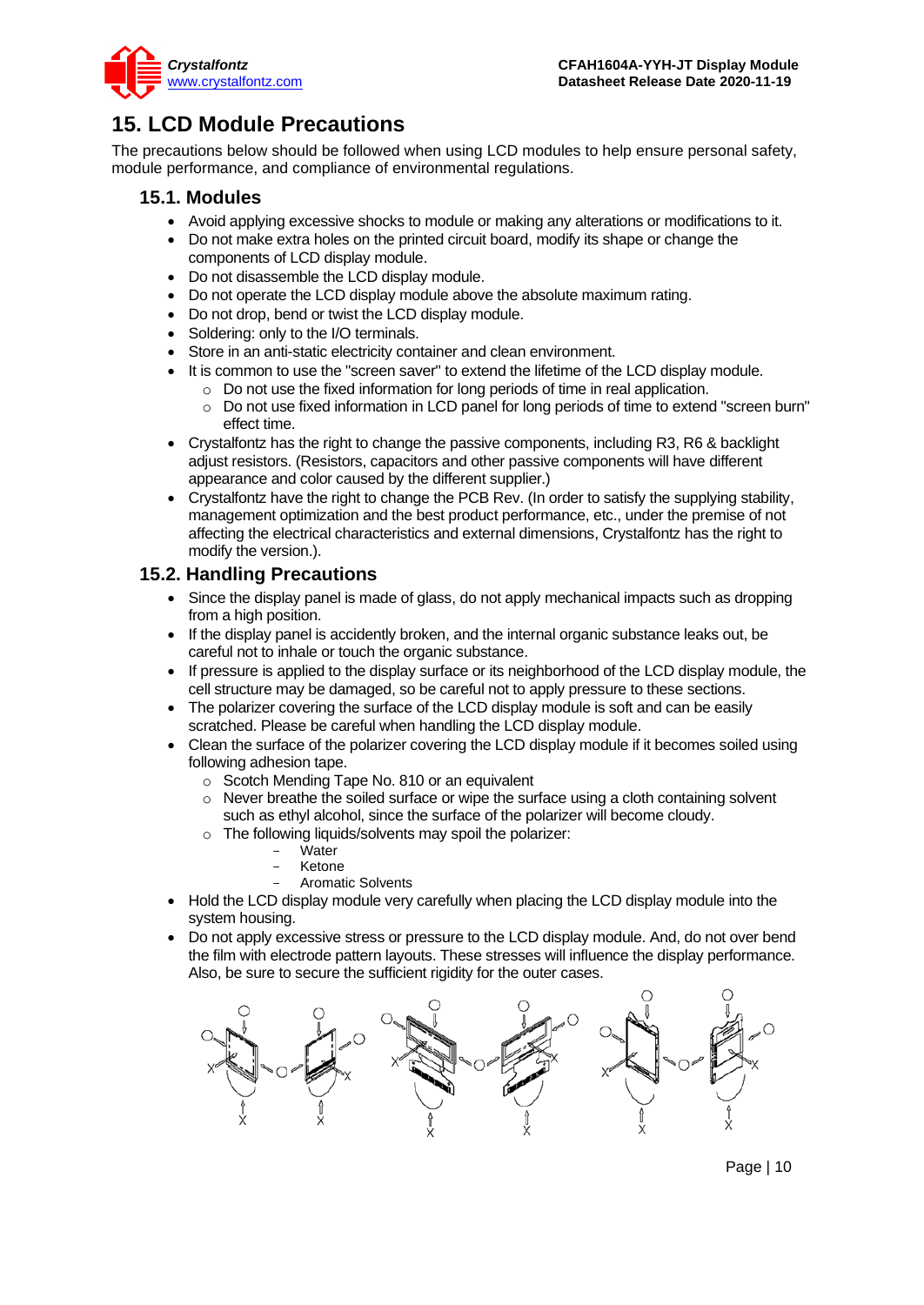

# <span id="page-9-0"></span>**15. LCD Module Precautions**

The precautions below should be followed when using LCD modules to help ensure personal safety, module performance, and compliance of environmental regulations.

### **15.1. Modules**

- Avoid applying excessive shocks to module or making any alterations or modifications to it.
- Do not make extra holes on the printed circuit board, modify its shape or change the components of LCD display module.
- Do not disassemble the LCD display module.
- Do not operate the LCD display module above the absolute maximum rating.
- Do not drop, bend or twist the LCD display module.
- Soldering: only to the I/O terminals.
- Store in an anti-static electricity container and clean environment.
- It is common to use the "screen saver" to extend the lifetime of the LCD display module.
	- $\circ$  Do not use the fixed information for long periods of time in real application.
	- o Do not use fixed information in LCD panel for long periods of time to extend "screen burn" effect time.
- Crystalfontz has the right to change the passive components, including R3, R6 & backlight adjust resistors. (Resistors, capacitors and other passive components will have different appearance and color caused by the different supplier.)
- Crystalfontz have the right to change the PCB Rev. (In order to satisfy the supplying stability, management optimization and the best product performance, etc., under the premise of not affecting the electrical characteristics and external dimensions, Crystalfontz has the right to modify the version.).

### **15.2. Handling Precautions**

- Since the display panel is made of glass, do not apply mechanical impacts such as dropping from a high position.
- If the display panel is accidently broken, and the internal organic substance leaks out, be careful not to inhale or touch the organic substance.
- If pressure is applied to the display surface or its neighborhood of the LCD display module, the cell structure may be damaged, so be careful not to apply pressure to these sections.
- The polarizer covering the surface of the LCD display module is soft and can be easily scratched. Please be careful when handling the LCD display module.
- Clean the surface of the polarizer covering the LCD display module if it becomes soiled using following adhesion tape.
	- o Scotch Mending Tape No. 810 or an equivalent
	- o Never breathe the soiled surface or wipe the surface using a cloth containing solvent such as ethyl alcohol, since the surface of the polarizer will become cloudy.
	- o The following liquids/solvents may spoil the polarizer:
		- Water
		- **Ketone**
		- Aromatic Solvents
- Hold the LCD display module very carefully when placing the LCD display module into the system housing.
- Do not apply excessive stress or pressure to the LCD display module. And, do not over bend the film with electrode pattern layouts. These stresses will influence the display performance. Also, be sure to secure the sufficient rigidity for the outer cases.



Page | 10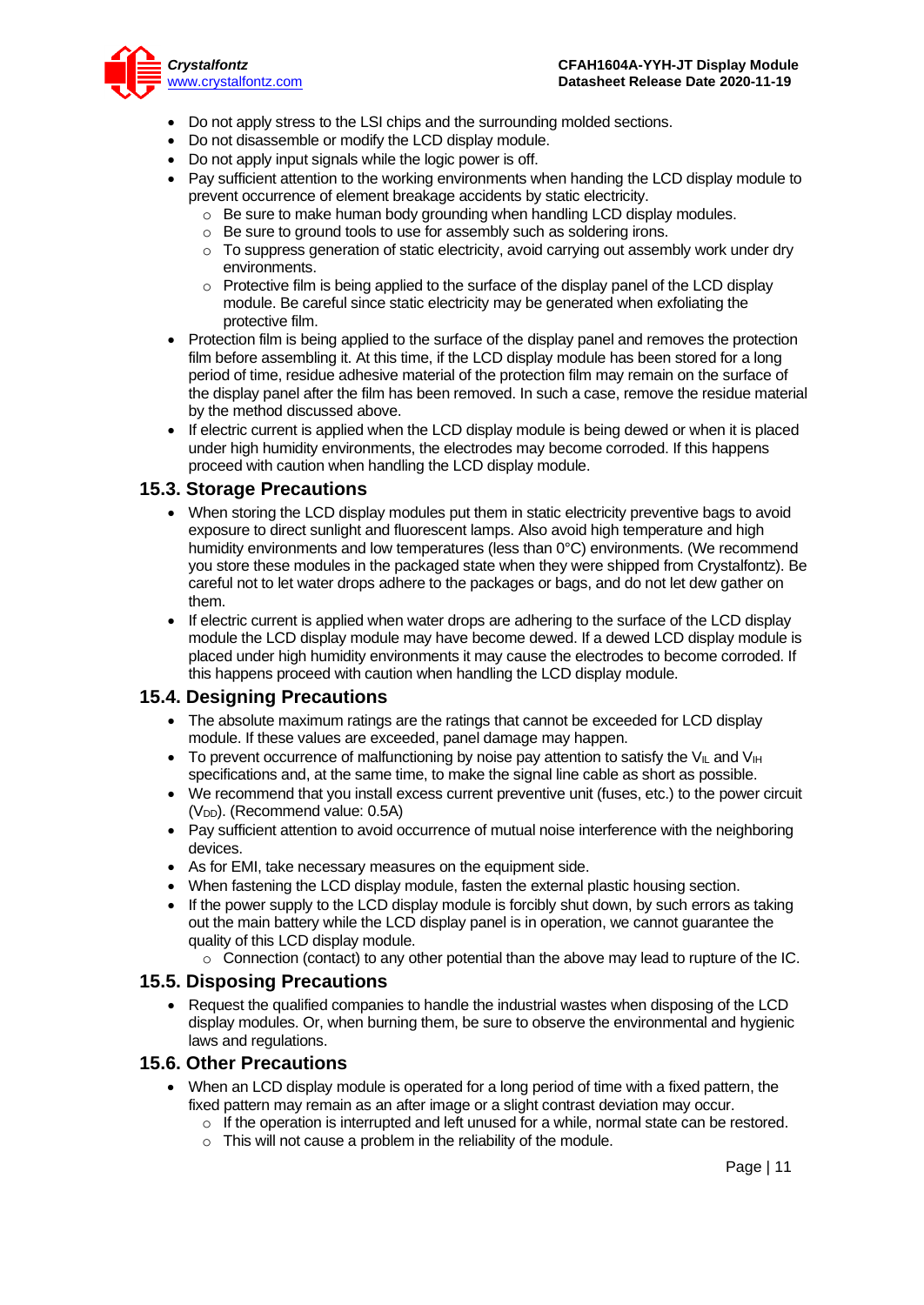

- Do not apply stress to the LSI chips and the surrounding molded sections.
- Do not disassemble or modify the LCD display module.
- Do not apply input signals while the logic power is off.
- Pay sufficient attention to the working environments when handing the LCD display module to prevent occurrence of element breakage accidents by static electricity.
	- o Be sure to make human body grounding when handling LCD display modules.
	- o Be sure to ground tools to use for assembly such as soldering irons.
	- $\circ$  To suppress generation of static electricity, avoid carrying out assembly work under dry environments.
	- $\circ$  Protective film is being applied to the surface of the display panel of the LCD display module. Be careful since static electricity may be generated when exfoliating the protective film.
- Protection film is being applied to the surface of the display panel and removes the protection film before assembling it. At this time, if the LCD display module has been stored for a long period of time, residue adhesive material of the protection film may remain on the surface of the display panel after the film has been removed. In such a case, remove the residue material by the method discussed above.
- If electric current is applied when the LCD display module is being dewed or when it is placed under high humidity environments, the electrodes may become corroded. If this happens proceed with caution when handling the LCD display module.

#### **15.3. Storage Precautions**

- When storing the LCD display modules put them in static electricity preventive bags to avoid exposure to direct sunlight and fluorescent lamps. Also avoid high temperature and high humidity environments and low temperatures (less than 0°C) environments. (We recommend you store these modules in the packaged state when they were shipped from Crystalfontz). Be careful not to let water drops adhere to the packages or bags, and do not let dew gather on them.
- If electric current is applied when water drops are adhering to the surface of the LCD display module the LCD display module may have become dewed. If a dewed LCD display module is placed under high humidity environments it may cause the electrodes to become corroded. If this happens proceed with caution when handling the LCD display module.

### **15.4. Designing Precautions**

- The absolute maximum ratings are the ratings that cannot be exceeded for LCD display module. If these values are exceeded, panel damage may happen.
- To prevent occurrence of malfunctioning by noise pay attention to satisfy the V<sub>II</sub> and V<sub>IH</sub> specifications and, at the same time, to make the signal line cable as short as possible.
- We recommend that you install excess current preventive unit (fuses, etc.) to the power circuit  $(V_{DD})$ . (Recommend value: 0.5A)
- Pay sufficient attention to avoid occurrence of mutual noise interference with the neighboring devices.
- As for EMI, take necessary measures on the equipment side.
- When fastening the LCD display module, fasten the external plastic housing section.
- If the power supply to the LCD display module is forcibly shut down, by such errors as taking out the main battery while the LCD display panel is in operation, we cannot guarantee the quality of this LCD display module.
	- $\circ$  Connection (contact) to any other potential than the above may lead to rupture of the IC.

#### **15.5. Disposing Precautions**

• Request the qualified companies to handle the industrial wastes when disposing of the LCD display modules. Or, when burning them, be sure to observe the environmental and hygienic laws and regulations.

#### **15.6. Other Precautions**

- When an LCD display module is operated for a long period of time with a fixed pattern, the fixed pattern may remain as an after image or a slight contrast deviation may occur.
	- $\circ$  If the operation is interrupted and left unused for a while, normal state can be restored.
	- $\circ$  This will not cause a problem in the reliability of the module.